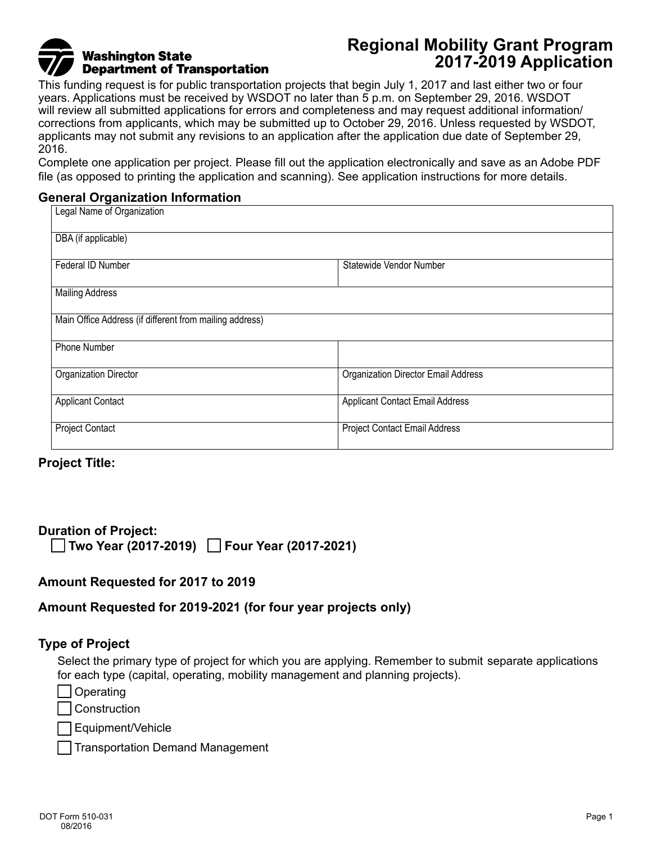# **Washington State Department of Transportation**

## **Regional Mobility Grant Program 2017-2019 Application**

This funding request is for public transportation projects that begin July 1, 2017 and last either two or four years. Applications must be received by WSDOT no later than 5 p.m. on September 29, 2016. WSDOT will review all submitted applications for errors and completeness and may request additional information/ corrections from applicants, which may be submitted up to October 29, 2016. Unless requested by WSDOT, applicants may not submit any revisions to an application after the application due date of September 29, 2016.

Complete one application per project. Please fill out the application electronically and save as an Adobe PDF file (as opposed to printing the application and scanning). See application instructions for more details.

#### **General Organization Information**

| Legal Name of Organization                              |                                        |  |  |  |
|---------------------------------------------------------|----------------------------------------|--|--|--|
| DBA (if applicable)                                     |                                        |  |  |  |
| Federal ID Number                                       | Statewide Vendor Number                |  |  |  |
| <b>Mailing Address</b>                                  |                                        |  |  |  |
| Main Office Address (if different from mailing address) |                                        |  |  |  |
| Phone Number                                            |                                        |  |  |  |
| Organization Director                                   | Organization Director Email Address    |  |  |  |
| <b>Applicant Contact</b>                                | <b>Applicant Contact Email Address</b> |  |  |  |
| <b>Project Contact</b>                                  | Project Contact Email Address          |  |  |  |

## **Project Title:**

### **Duration of Project: Two Year (2017-2019) Four Year (2017-2021)**

## **Amount Requested for 2017 to 2019**

## **Amount Requested for 2019-2021 (for four year projects only)**

#### **Type of Project**

Select the primary type of project for which you are applying. Remember to submit separate applications for each type (capital, operating, mobility management and planning projects).

**Operating** 

**Construction** 

Equipment/Vehicle

Transportation Demand Management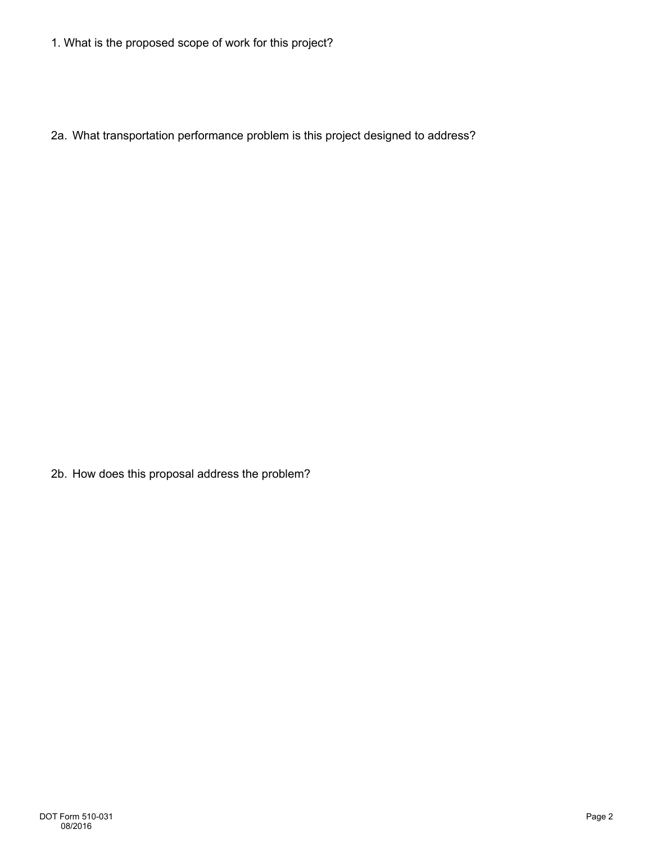1. What is the proposed scope of work for this project?

2a. What transportation performance problem is this project designed to address?

2b. How does this proposal address the problem?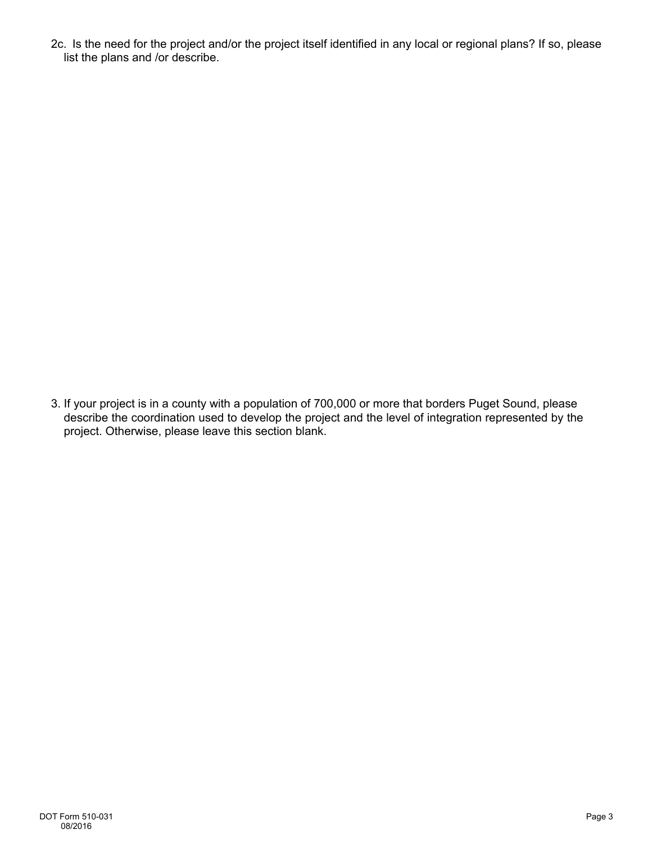2c. Is the need for the project and/or the project itself identified in any local or regional plans? If so, please list the plans and /or describe.

3. If your project is in a county with a population of 700,000 or more that borders Puget Sound, please describe the coordination used to develop the project and the level of integration represented by the project. Otherwise, please leave this section blank.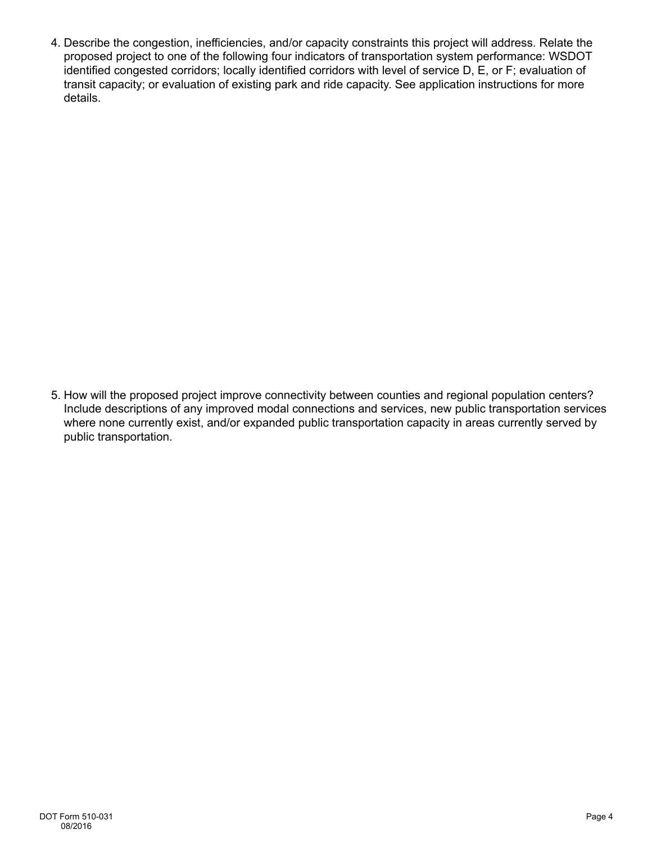4. Describe the congestion, inefficiencies, and/or capacity constraints this project will address. Relate the proposed project to one of the following four indicators of transportation system performance: WSDOT identified congested corridors; locally identified corridors with level of service D, E, or F; evaluation of transit capacity; or evaluation of existing park and ride capacity. See application instructions for more details.

5. How will the proposed project improve connectivity between counties and regional population centers? Include descriptions of any improved modal connections and services, new public transportation services where none currently exist, and/or expanded public transportation capacity in areas currently served by public transportation.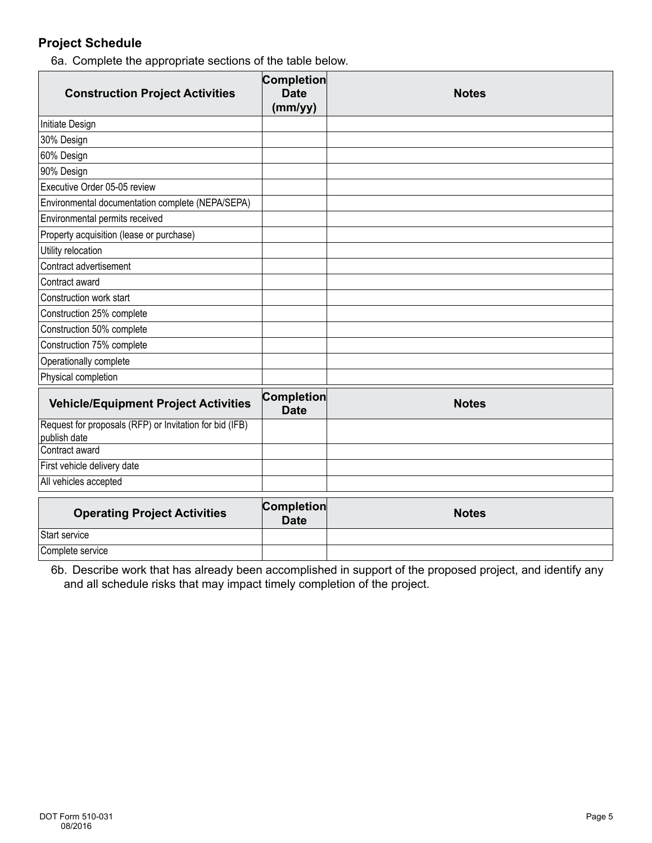## **Project Schedule**

6a. Complete the appropriate sections of the table below.

| <b>Construction Project Activities</b>                                  | <b>Completion</b><br><b>Date</b><br>(mm/yy) | <b>Notes</b> |
|-------------------------------------------------------------------------|---------------------------------------------|--------------|
| Initiate Design                                                         |                                             |              |
| 30% Design                                                              |                                             |              |
| 60% Design                                                              |                                             |              |
| 90% Design                                                              |                                             |              |
| Executive Order 05-05 review                                            |                                             |              |
| Environmental documentation complete (NEPA/SEPA)                        |                                             |              |
| Environmental permits received                                          |                                             |              |
| Property acquisition (lease or purchase)                                |                                             |              |
| Utility relocation                                                      |                                             |              |
| Contract advertisement                                                  |                                             |              |
| Contract award                                                          |                                             |              |
| Construction work start                                                 |                                             |              |
| Construction 25% complete                                               |                                             |              |
| Construction 50% complete                                               |                                             |              |
| Construction 75% complete                                               |                                             |              |
| Operationally complete                                                  |                                             |              |
| Physical completion                                                     |                                             |              |
| <b>Vehicle/Equipment Project Activities</b>                             | <b>Completion</b><br><b>Date</b>            | <b>Notes</b> |
| Request for proposals (RFP) or Invitation for bid (IFB)<br>publish date |                                             |              |
| Contract award                                                          |                                             |              |
| First vehicle delivery date                                             |                                             |              |
| All vehicles accepted                                                   |                                             |              |
| <b>Operating Project Activities</b>                                     | <b>Completion</b><br><b>Date</b>            | <b>Notes</b> |
| Start service                                                           |                                             |              |

6b. Describe work that has already been accomplished in support of the proposed project, and identify any and all schedule risks that may impact timely completion of the project.

Complete service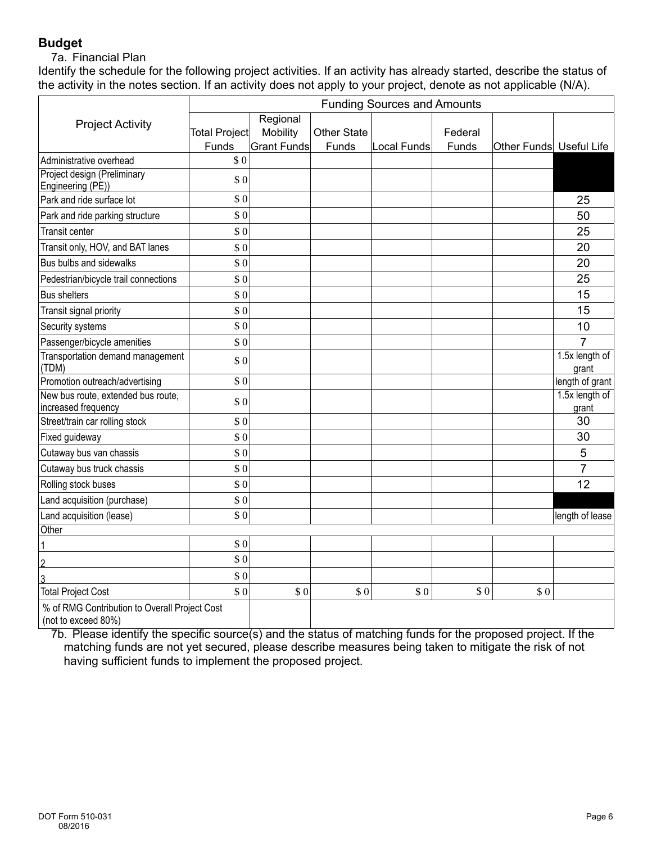## **Budget**

#### 7a. Financial Plan

Identify the schedule for the following project activities. If an activity has already started, describe the status of the activity in the notes section. If an activity does not apply to your project, denote as not applicable (N/A).

|                                                                      | <b>Funding Sources and Amounts</b> |                    |                    |             |         |                         |                         |
|----------------------------------------------------------------------|------------------------------------|--------------------|--------------------|-------------|---------|-------------------------|-------------------------|
| <b>Project Activity</b>                                              |                                    | Regional           |                    |             |         |                         |                         |
|                                                                      | <b>Total Project</b>               | Mobility           | <b>Other State</b> |             | Federal |                         |                         |
|                                                                      | Funds                              | <b>Grant Funds</b> | Funds              | Local Funds | Funds   | Other Funds Useful Life |                         |
| Administrative overhead                                              | \$0                                |                    |                    |             |         |                         |                         |
| Project design (Preliminary<br>Engineering (PE))                     | \$0                                |                    |                    |             |         |                         |                         |
| Park and ride surface lot                                            | \$0                                |                    |                    |             |         |                         | 25                      |
| Park and ride parking structure                                      | \$0                                |                    |                    |             |         |                         | 50                      |
| <b>Transit center</b>                                                | \$0                                |                    |                    |             |         |                         | 25                      |
| Transit only, HOV, and BAT lanes                                     | \$0                                |                    |                    |             |         |                         | 20                      |
| Bus bulbs and sidewalks                                              | \$0                                |                    |                    |             |         |                         | 20                      |
| Pedestrian/bicycle trail connections                                 | \$0                                |                    |                    |             |         |                         | 25                      |
| <b>Bus shelters</b>                                                  | \$0                                |                    |                    |             |         |                         | 15                      |
| Transit signal priority                                              | \$0                                |                    |                    |             |         |                         | 15                      |
| Security systems                                                     | \$0                                |                    |                    |             |         |                         | 10                      |
| Passenger/bicycle amenities                                          | \$0                                |                    |                    |             |         |                         | $\overline{7}$          |
| <b>Transportation demand management</b><br>(TDM)                     | \$0                                |                    |                    |             |         |                         | 1.5x length of<br>grant |
| Promotion outreach/advertising                                       | \$0                                |                    |                    |             |         |                         | length of grant         |
| New bus route, extended bus route,<br>increased frequency            | \$0                                |                    |                    |             |         |                         | 1.5x length of<br>grant |
| Street/train car rolling stock                                       | \$0                                |                    |                    |             |         |                         | 30                      |
| Fixed guideway                                                       | \$0                                |                    |                    |             |         |                         | 30                      |
| Cutaway bus van chassis                                              | \$0                                |                    |                    |             |         |                         | 5                       |
| Cutaway bus truck chassis                                            | \$0                                |                    |                    |             |         |                         | 7                       |
| Rolling stock buses                                                  | \$0                                |                    |                    |             |         |                         | 12                      |
| Land acquisition (purchase)                                          | \$0                                |                    |                    |             |         |                         |                         |
| Land acquisition (lease)                                             | \$0                                |                    |                    |             |         |                         | length of lease         |
| Other                                                                |                                    |                    |                    |             |         |                         |                         |
| 1                                                                    | \$0                                |                    |                    |             |         |                         |                         |
| $\overline{2}$                                                       | \$0                                |                    |                    |             |         |                         |                         |
| $\overline{3}$                                                       | \$0                                |                    |                    |             |         |                         |                         |
| <b>Total Project Cost</b>                                            | \$0                                | \$0                | \$0                | \$0         | \$0     | \$0                     |                         |
| % of RMG Contribution to Overall Project Cost<br>(not to exceed 80%) |                                    |                    |                    |             |         |                         |                         |

7b. Please identify the specific source(s) and the status of matching funds for the proposed project. If the matching funds are not yet secured, please describe measures being taken to mitigate the risk of not having sufficient funds to implement the proposed project.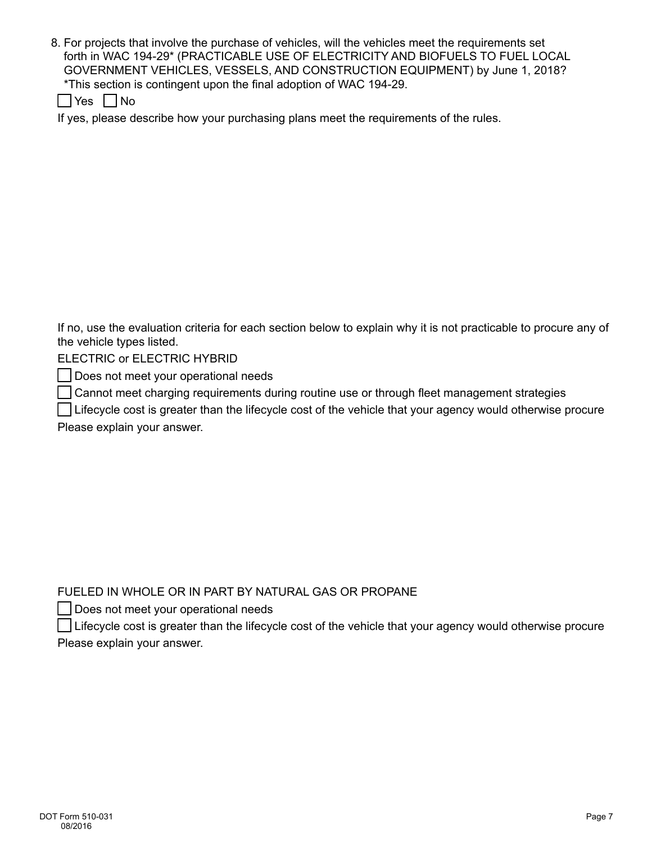- 8. For projects that involve the purchase of vehicles, will the vehicles meet the requirements set forth in WAC 194-29\* (PRACTICABLE USE OF ELECTRICITY AND BIOFUELS TO FUEL LOCAL GOVERNMENT VEHICLES, VESSELS, AND CONSTRUCTION EQUIPMENT) by June 1, 2018? \*This section is contingent upon the final adoption of WAC 194-29.
	- $\Box$ Yes  $\Box$ No

If yes, please describe how your purchasing plans meet the requirements of the rules.

If no, use the evaluation criteria for each section below to explain why it is not practicable to procure any of the vehicle types listed.

ELECTRIC or ELECTRIC HYBRID

Does not meet your operational needs

Cannot meet charging requirements during routine use or through fleet management strategies

 Lifecycle cost is greater than the lifecycle cost of the vehicle that your agency would otherwise procure Please explain your answer.

FUELED IN WHOLE OR IN PART BY NATURAL GAS OR PROPANE

Does not meet your operational needs

 Lifecycle cost is greater than the lifecycle cost of the vehicle that your agency would otherwise procure Please explain your answer.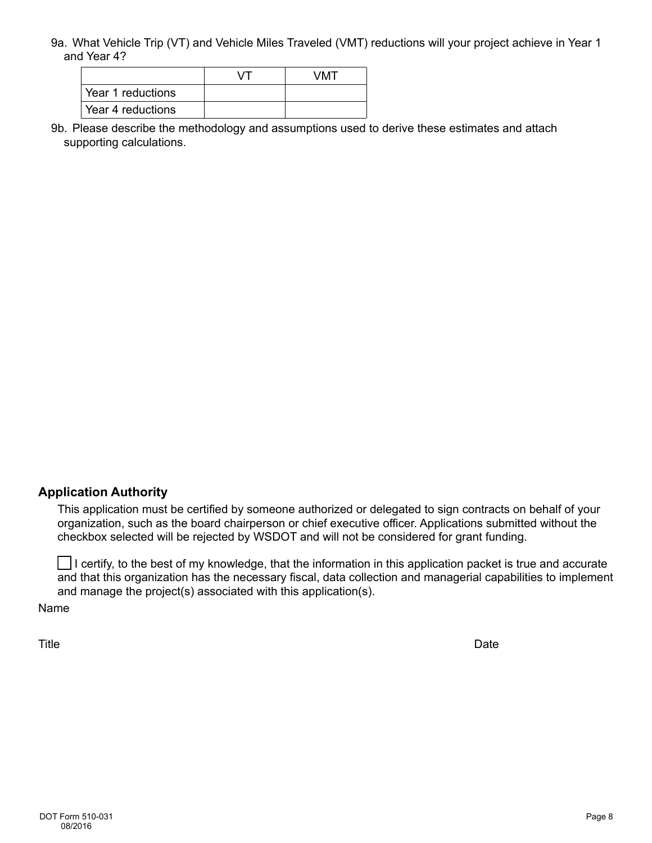9a. What Vehicle Trip (VT) and Vehicle Miles Traveled (VMT) reductions will your project achieve in Year 1 and Year 4?

|                   | VMT |
|-------------------|-----|
| Year 1 reductions |     |
| Year 4 reductions |     |

9b. Please describe the methodology and assumptions used to derive these estimates and attach supporting calculations.

#### **Application Authority**

This application must be certified by someone authorized or delegated to sign contracts on behalf of your organization, such as the board chairperson or chief executive officer. Applications submitted without the checkbox selected will be rejected by WSDOT and will not be considered for grant funding.

 $\Box$  I certify, to the best of my knowledge, that the information in this application packet is true and accurate and that this organization has the necessary fiscal, data collection and managerial capabilities to implement and manage the project(s) associated with this application(s).

Name

Title **Date**